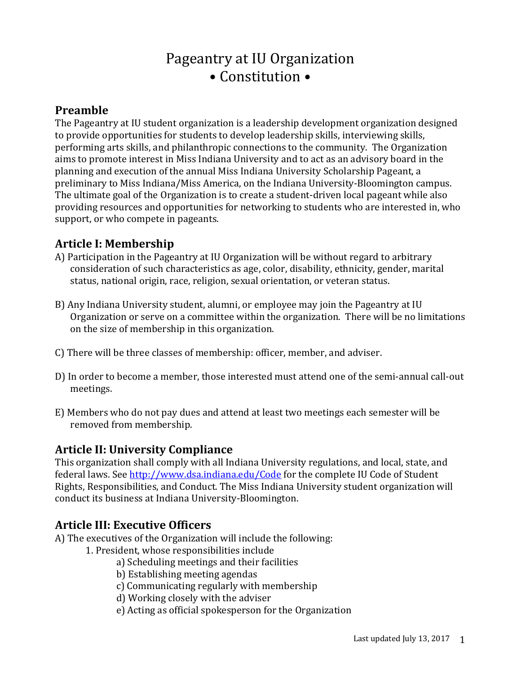# Pageantry at IU Organization • Constitution •

## **Preamble**

The Pageantry at IU student organization is a leadership development organization designed to provide opportunities for students to develop leadership skills, interviewing skills, performing arts skills, and philanthropic connections to the community. The Organization aims to promote interest in Miss Indiana University and to act as an advisory board in the planning and execution of the annual Miss Indiana University Scholarship Pageant, a preliminary to Miss Indiana/Miss America, on the Indiana University-Bloomington campus. The ultimate goal of the Organization is to create a student-driven local pageant while also providing resources and opportunities for networking to students who are interested in, who support, or who compete in pageants.

## **Article I: Membership**

- A) Participation in the Pageantry at IU Organization will be without regard to arbitrary consideration of such characteristics as age, color, disability, ethnicity, gender, marital status, national origin, race, religion, sexual orientation, or veteran status.
- B) Any Indiana University student, alumni, or employee may join the Pageantry at IU Organization or serve on a committee within the organization. There will be no limitations on the size of membership in this organization.
- C) There will be three classes of membership: officer, member, and adviser.
- D) In order to become a member, those interested must attend one of the semi-annual call-out meetings.
- E) Members who do not pay dues and attend at least two meetings each semester will be removed from membership.

## **Article II: University Compliance**

This organization shall comply with all Indiana University regulations, and local, state, and federal laws. See<http://www.dsa.indiana.edu/Code> for the complete IU Code of Student Rights, Responsibilities, and Conduct. The Miss Indiana University student organization will conduct its business at Indiana University-Bloomington.

## **Article III: Executive Officers**

- A) The executives of the Organization will include the following:
	- 1. President, whose responsibilities include
		- a) Scheduling meetings and their facilities
		- b) Establishing meeting agendas
		- c) Communicating regularly with membership
		- d) Working closely with the adviser
		- e) Acting as official spokesperson for the Organization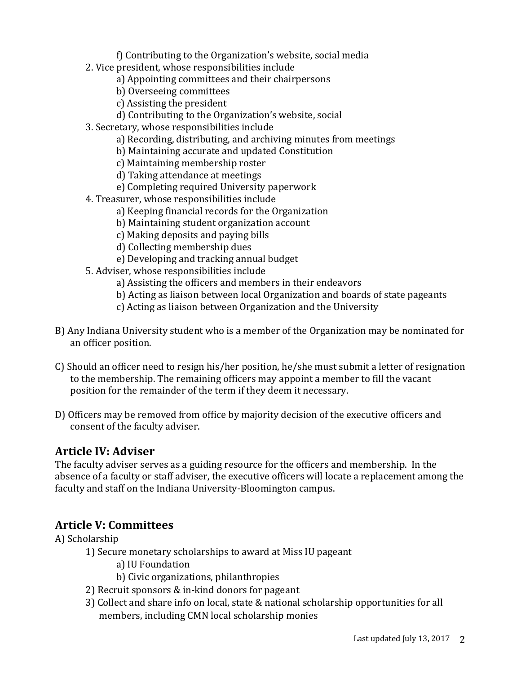f) Contributing to the Organization's website, social media

- 2. Vice president, whose responsibilities include
	- a) Appointing committees and their chairpersons
	- b) Overseeing committees
	- c) Assisting the president
	- d) Contributing to the Organization's website, social
- 3. Secretary, whose responsibilities include
	- a) Recording, distributing, and archiving minutes from meetings
	- b) Maintaining accurate and updated Constitution
	- c) Maintaining membership roster
	- d) Taking attendance at meetings
	- e) Completing required University paperwork
- 4. Treasurer, whose responsibilities include
	- a) Keeping financial records for the Organization
	- b) Maintaining student organization account
	- c) Making deposits and paying bills
	- d) Collecting membership dues
	- e) Developing and tracking annual budget
- 5. Adviser, whose responsibilities include
	- a) Assisting the officers and members in their endeavors
	- b) Acting as liaison between local Organization and boards of state pageants
	- c) Acting as liaison between Organization and the University
- B) Any Indiana University student who is a member of the Organization may be nominated for an officer position.
- C) Should an officer need to resign his/her position, he/she must submit a letter of resignation to the membership. The remaining officers may appoint a member to fill the vacant position for the remainder of the term if they deem it necessary.
- D) Officers may be removed from office by majority decision of the executive officers and consent of the faculty adviser.

## **Article IV: Adviser**

The faculty adviser serves as a guiding resource for the officers and membership. In the absence of a faculty or staff adviser, the executive officers will locate a replacement among the faculty and staff on the Indiana University-Bloomington campus.

## **Article V: Committees**

#### A) Scholarship

- 1) Secure monetary scholarships to award at Miss IU pageant
	- a) IU Foundation
	- b) Civic organizations, philanthropies
- 2) Recruit sponsors & in-kind donors for pageant
- 3) Collect and share info on local, state & national scholarship opportunities for all members, including CMN local scholarship monies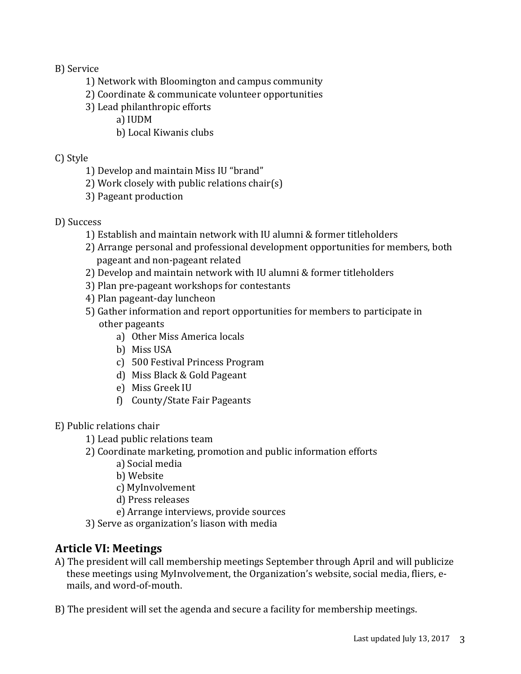B) Service

- 1) Network with Bloomington and campus community
- 2) Coordinate & communicate volunteer opportunities
- 3) Lead philanthropic efforts
	- a) IUDM
	- b) Local Kiwanis clubs

## C) Style

- 1) Develop and maintain Miss IU "brand"
- 2) Work closely with public relations chair(s)
- 3) Pageant production

## D) Success

- 1) Establish and maintain network with IU alumni & former titleholders
- 2) Arrange personal and professional development opportunities for members, both pageant and non-pageant related
- 2) Develop and maintain network with IU alumni & former titleholders
- 3) Plan pre-pageant workshops for contestants
- 4) Plan pageant-day luncheon
- 5) Gather information and report opportunities for members to participate in other pageants
	- a) Other Miss America locals
	- b) Miss USA
	- c) 500 Festival Princess Program
	- d) Miss Black & Gold Pageant
	- e) Miss Greek IU
	- f) County/State Fair Pageants

## E) Public relations chair

- 1) Lead public relations team
- 2) Coordinate marketing, promotion and public information efforts
	- a) Social media
	- b) Website
	- c) MyInvolvement
	- d) Press releases
	- e) Arrange interviews, provide sources
- 3) Serve as organization's liason with media

## **Article VI: Meetings**

- A) The president will call membership meetings September through April and will publicize these meetings using MyInvolvement, the Organization's website, social media, fliers, emails, and word-of-mouth.
- B) The president will set the agenda and secure a facility for membership meetings.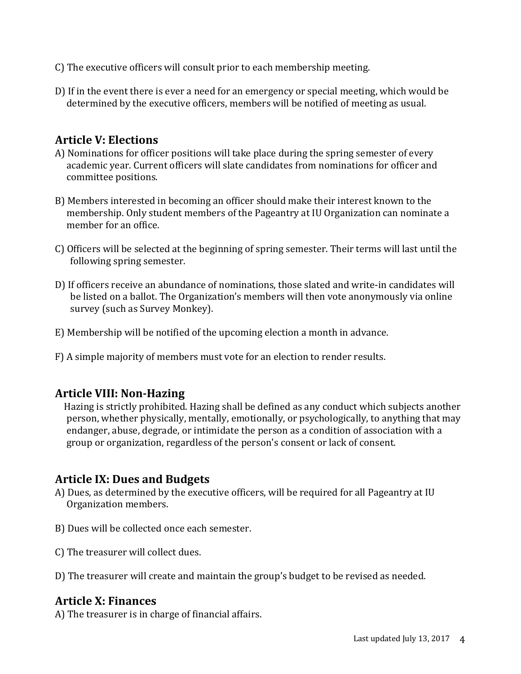- C) The executive officers will consult prior to each membership meeting.
- D) If in the event there is ever a need for an emergency or special meeting, which would be determined by the executive officers, members will be notified of meeting as usual.

## **Article V: Elections**

- A) Nominations for officer positions will take place during the spring semester of every academic year. Current officers will slate candidates from nominations for officer and committee positions.
- B) Members interested in becoming an officer should make their interest known to the membership. Only student members of the Pageantry at IU Organization can nominate a member for an office.
- C) Officers will be selected at the beginning of spring semester. Their terms will last until the following spring semester.
- D) If officers receive an abundance of nominations, those slated and write-in candidates will be listed on a ballot. The Organization's members will then vote anonymously via online survey (such as Survey Monkey).
- E) Membership will be notified of the upcoming election a month in advance.
- F) A simple majority of members must vote for an election to render results.

## **Article VIII: Non-Hazing**

 Hazing is strictly prohibited. Hazing shall be defined as any conduct which subjects another person, whether physically, mentally, emotionally, or psychologically, to anything that may endanger, abuse, degrade, or intimidate the person as a condition of association with a group or organization, regardless of the person's consent or lack of consent.

## **Article IX: Dues and Budgets**

- A) Dues, as determined by the executive officers, will be required for all Pageantry at IU Organization members.
- B) Dues will be collected once each semester.
- C) The treasurer will collect dues.
- D) The treasurer will create and maintain the group's budget to be revised as needed.

#### **Article X: Finances**

A) The treasurer is in charge of financial affairs.